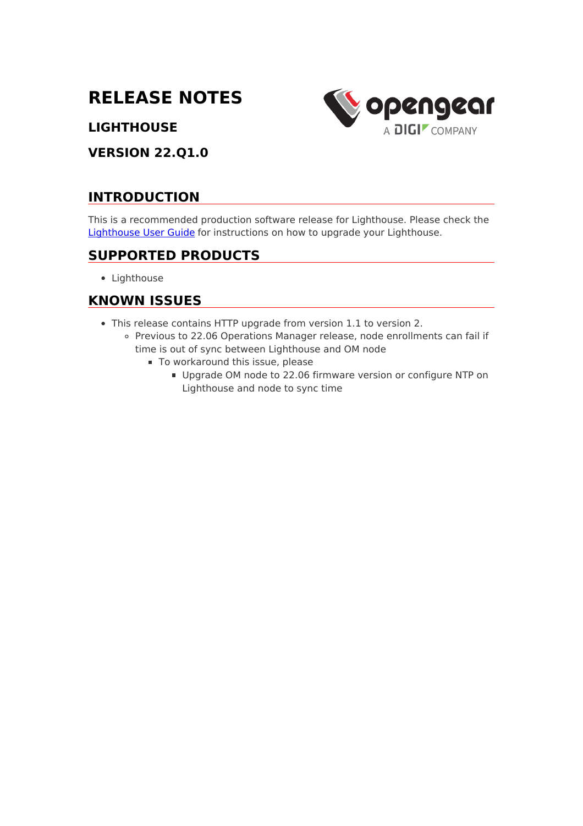# **RELEASE NOTES**



# **LIGHTHOUSE**

**VERSION 22.Q1.0**

# **INTRODUCTION**

This is a recommended production software release for Lighthouse. Please check the [Lighthouse](https://ftp.opengear.com/download/manual/current/LighthouseUserManual.pdf) User Guide for instructions on how to upgrade your Lighthouse.

# **SUPPORTED PRODUCTS**

• Lighthouse

# **KNOWN ISSUES**

- This release contains HTTP upgrade from version 1.1 to version 2.
	- Previous to 22.06 Operations Manager release, node enrollments can fail if time is out of sync between Lighthouse and OM node
		- $\blacksquare$  To workaround this issue, please
			- Upgrade OM node to 22.06 firmware version or configure NTP on Lighthouse and node to sync time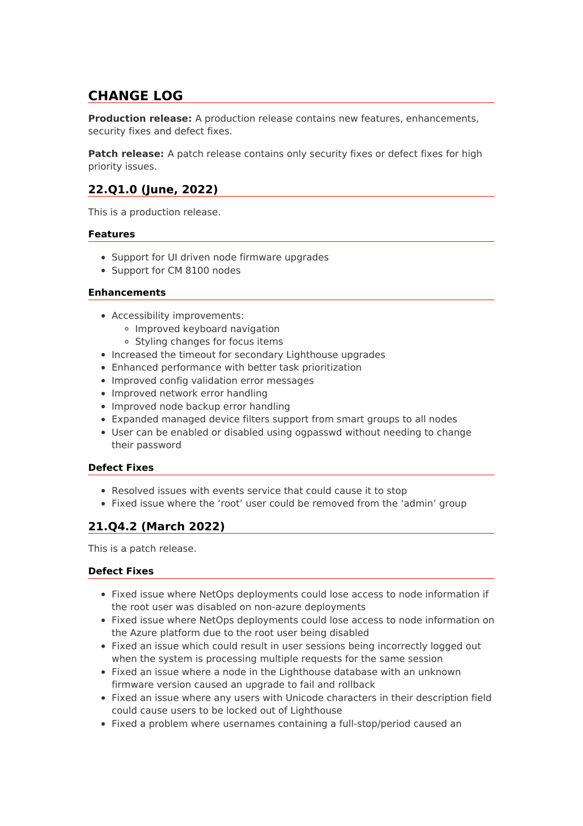# **CHANGE LOG**

**Production release:** A production release contains new features, enhancements, security fixes and defect fixes.

**Patch release:** A patch release contains only security fixes or defect fixes for high priority issues.

# **22.Q1.0 (June, 2022)**

This is a production release.

#### **Features**

- Support for UI driven node firmware upgrades
- Support for CM 8100 nodes

#### **Enhancements**

- Accessibility improvements:
	- Improved keyboard navigation
	- o Styling changes for focus items
- Increased the timeout for secondary Lighthouse upgrades
- Enhanced performance with better task prioritization
- Improved config validation error messages
- Improved network error handling
- Improved node backup error handling
- Expanded managed device filters support from smart groups to all nodes
- User can be enabled or disabled using ogpasswd without needing to change their password

#### **Defect Fixes**

- Resolved issues with events service that could cause it to stop
- Fixed issue where the 'root' user could be removed from the 'admin' group

# **21.Q4.2 (March 2022)**

This is a patch release.

- Fixed issue where NetOps deployments could lose access to node information if the root user was disabled on non-azure deployments
- Fixed issue where NetOps deployments could lose access to node information on the Azure platform due to the root user being disabled
- Fixed an issue which could result in user sessions being incorrectly logged out when the system is processing multiple requests for the same session
- Fixed an issue where a node in the Lighthouse database with an unknown firmware version caused an upgrade to fail and rollback
- Fixed an issue where any users with Unicode characters in their description field could cause users to be locked out of Lighthouse
- Fixed a problem where usernames containing a full-stop/period caused an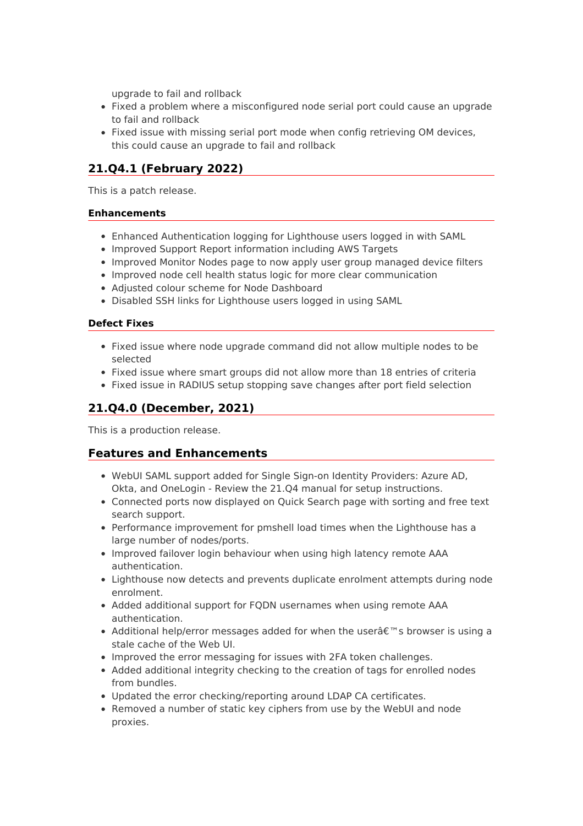upgrade to fail and rollback

- Fixed a problem where a misconfigured node serial port could cause an upgrade to fail and rollback
- Fixed issue with missing serial port mode when config retrieving OM devices, this could cause an upgrade to fail and rollback

# **21.Q4.1 (February 2022)**

This is a patch release.

#### **Enhancements**

- Enhanced Authentication logging for Lighthouse users logged in with SAML
- Improved Support Report information including AWS Targets
- Improved Monitor Nodes page to now apply user group managed device filters
- Improved node cell health status logic for more clear communication
- Adjusted colour scheme for Node Dashboard
- Disabled SSH links for Lighthouse users logged in using SAML

### **Defect Fixes**

- Fixed issue where node upgrade command did not allow multiple nodes to be selected
- Fixed issue where smart groups did not allow more than 18 entries of criteria
- Fixed issue in RADIUS setup stopping save changes after port field selection

# **21.Q4.0 (December, 2021)**

This is a production release.

- WebUI SAML support added for Single Sign-on Identity Providers: Azure AD, Okta, and OneLogin - Review the 21.Q4 manual for setup instructions.
- Connected ports now displayed on Quick Search page with sorting and free text search support.
- Performance improvement for pmshell load times when the Lighthouse has a large number of nodes/ports.
- Improved failover login behaviour when using high latency remote AAA authentication.
- Lighthouse now detects and prevents duplicate enrolment attempts during node enrolment.
- Added additional support for FQDN usernames when using remote AAA authentication.
- Additional help/error messages added for when the user  $\hat{\alpha} \in \mathbb{N}$  s browser is using a stale cache of the Web UI.
- Improved the error messaging for issues with 2FA token challenges.
- Added additional integrity checking to the creation of tags for enrolled nodes from bundles.
- Updated the error checking/reporting around LDAP CA certificates.
- Removed a number of static key ciphers from use by the WebUI and node proxies.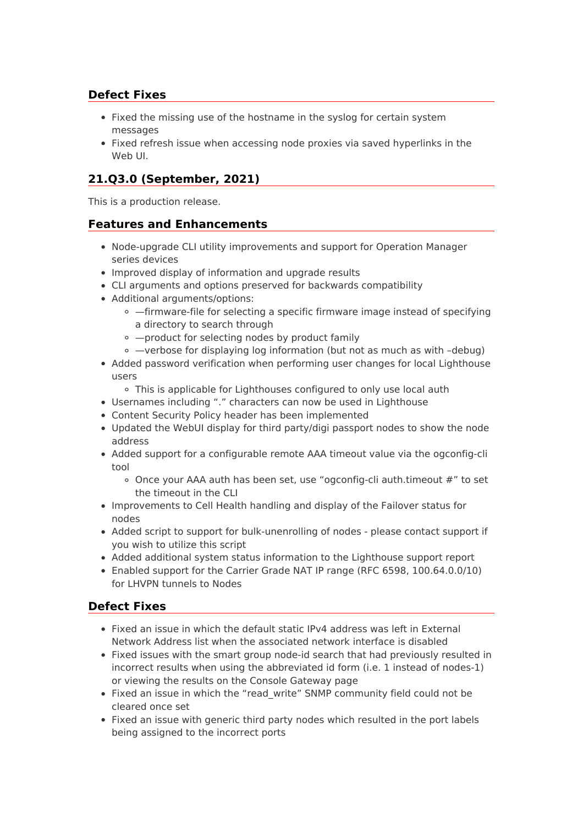- Fixed the missing use of the hostname in the syslog for certain system messages
- Fixed refresh issue when accessing node proxies via saved hyperlinks in the Web UI.

# **21.Q3.0 (September, 2021)**

This is a production release.

### **Features and Enhancements**

- Node-upgrade CLI utility improvements and support for Operation Manager series devices
- Improved display of information and upgrade results
- CLI arguments and options preserved for backwards compatibility
- Additional arguments/options:
	- —firmware-file for selecting a specific firmware image instead of specifying a directory to search through
	- —product for selecting nodes by product family
	- —verbose for displaying log information (but not as much as with –debug)
- Added password verification when performing user changes for local Lighthouse users
	- This is applicable for Lighthouses configured to only use local auth
- Usernames including "." characters can now be used in Lighthouse
- Content Security Policy header has been implemented
- Updated the WebUI display for third party/digi passport nodes to show the node address
- Added support for a configurable remote AAA timeout value via the ogconfig-cli tool
	- Once your AAA auth has been set, use "ogconfig-cli auth.timeout #" to set the timeout in the CLI
- Improvements to Cell Health handling and display of the Failover status for nodes
- Added script to support for bulk-unenrolling of nodes please contact support if you wish to utilize this script
- Added additional system status information to the Lighthouse support report
- Enabled support for the Carrier Grade NAT IP range (RFC 6598, 100.64.0.0/10) for LHVPN tunnels to Nodes

- Fixed an issue in which the default static IPv4 address was left in External Network Address list when the associated network interface is disabled
- Fixed issues with the smart group node-id search that had previously resulted in incorrect results when using the abbreviated id form (i.e. 1 instead of nodes-1) or viewing the results on the Console Gateway page
- Fixed an issue in which the "read write" SNMP community field could not be cleared once set
- Fixed an issue with generic third party nodes which resulted in the port labels being assigned to the incorrect ports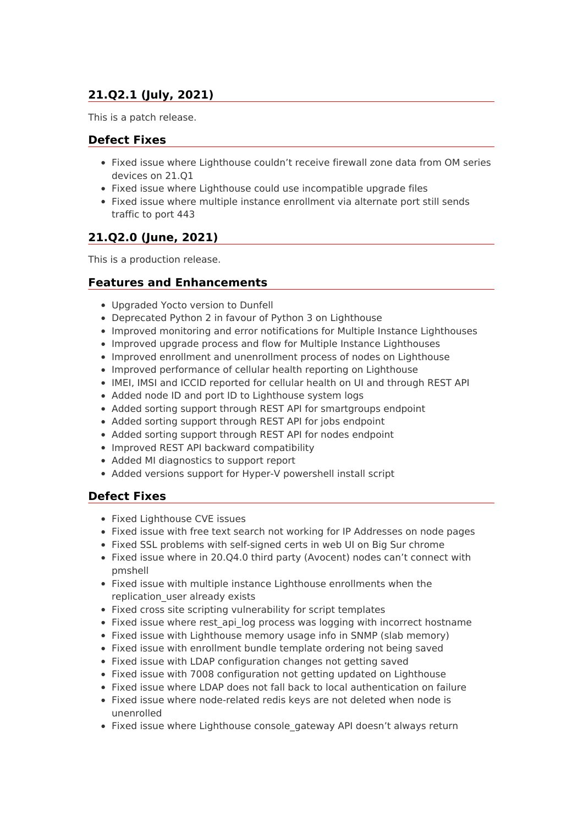# **21.Q2.1 (July, 2021)**

This is a patch release.

### **Defect Fixes**

- Fixed issue where Lighthouse couldn't receive firewall zone data from OM series devices on 21.Q1
- Fixed issue where Lighthouse could use incompatible upgrade files
- Fixed issue where multiple instance enrollment via alternate port still sends traffic to port 443

# **21.Q2.0 (June, 2021)**

This is a production release.

### **Features and Enhancements**

- Upgraded Yocto version to Dunfell
- Deprecated Python 2 in favour of Python 3 on Lighthouse
- Improved monitoring and error notifications for Multiple Instance Lighthouses
- Improved upgrade process and flow for Multiple Instance Lighthouses
- Improved enrollment and unenrollment process of nodes on Lighthouse
- Improved performance of cellular health reporting on Lighthouse
- IMEI, IMSI and ICCID reported for cellular health on UI and through REST API
- Added node ID and port ID to Lighthouse system logs
- Added sorting support through REST API for smartgroups endpoint
- Added sorting support through REST API for jobs endpoint
- Added sorting support through REST API for nodes endpoint
- Improved REST API backward compatibility
- Added MI diagnostics to support report
- Added versions support for Hyper-V powershell install script

- Fixed Lighthouse CVE issues
- Fixed issue with free text search not working for IP Addresses on node pages
- Fixed SSL problems with self-signed certs in web UI on Big Sur chrome
- Fixed issue where in 20.04.0 third party (Avocent) nodes can't connect with pmshell
- Fixed issue with multiple instance Lighthouse enrollments when the replication user already exists
- Fixed cross site scripting vulnerability for script templates
- Fixed issue where rest api log process was logging with incorrect hostname
- Fixed issue with Lighthouse memory usage info in SNMP (slab memory)
- Fixed issue with enrollment bundle template ordering not being saved
- Fixed issue with LDAP configuration changes not getting saved
- Fixed issue with 7008 configuration not getting updated on Lighthouse
- Fixed issue where LDAP does not fall back to local authentication on failure
- Fixed issue where node-related redis keys are not deleted when node is unenrolled
- Fixed issue where Lighthouse console gateway API doesn't always return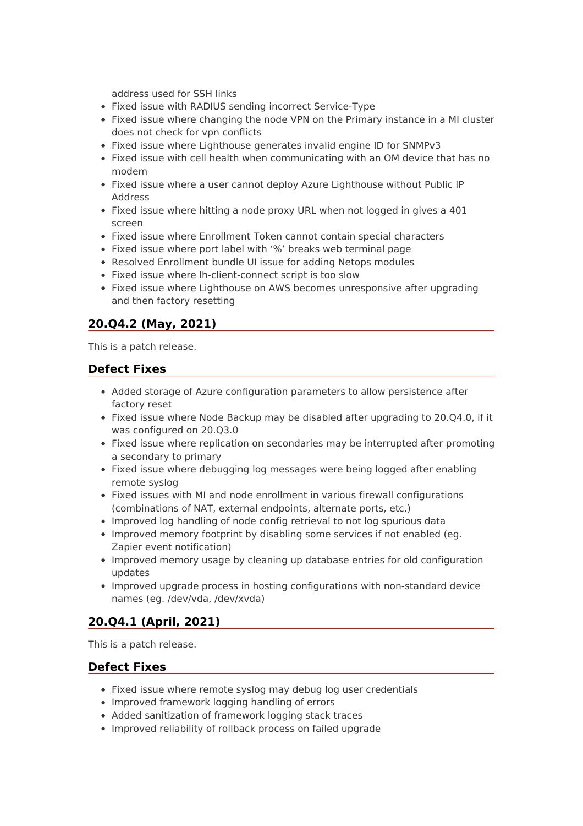address used for SSH links

- Fixed issue with RADIUS sending incorrect Service-Type
- Fixed issue where changing the node VPN on the Primary instance in a MI cluster does not check for vpn conflicts
- Fixed issue where Lighthouse generates invalid engine ID for SNMPv3
- Fixed issue with cell health when communicating with an OM device that has no modem
- Fixed issue where a user cannot deploy Azure Lighthouse without Public IP Address
- Fixed issue where hitting a node proxy URL when not logged in gives a 401 screen
- Fixed issue where Enrollment Token cannot contain special characters
- Fixed issue where port label with '%' breaks web terminal page
- Resolved Enrollment bundle UI issue for adding Netops modules
- Fixed issue where lh-client-connect script is too slow
- Fixed issue where Lighthouse on AWS becomes unresponsive after upgrading and then factory resetting

# **20.Q4.2 (May, 2021)**

This is a patch release.

# **Defect Fixes**

- Added storage of Azure configuration parameters to allow persistence after factory reset
- Fixed issue where Node Backup may be disabled after upgrading to 20.04.0, if it was configured on 20.Q3.0
- Fixed issue where replication on secondaries may be interrupted after promoting a secondary to primary
- Fixed issue where debugging log messages were being logged after enabling remote syslog
- Fixed issues with MI and node enrollment in various firewall configurations (combinations of NAT, external endpoints, alternate ports, etc.)
- Improved log handling of node config retrieval to not log spurious data
- Improved memory footprint by disabling some services if not enabled (eg. Zapier event notification)
- Improved memory usage by cleaning up database entries for old configuration updates
- Improved upgrade process in hosting configurations with non-standard device names (eg. /dev/vda, /dev/xvda)

# **20.Q4.1 (April, 2021)**

This is a patch release.

- Fixed issue where remote syslog may debug log user credentials
- Improved framework logging handling of errors
- Added sanitization of framework logging stack traces
- Improved reliability of rollback process on failed upgrade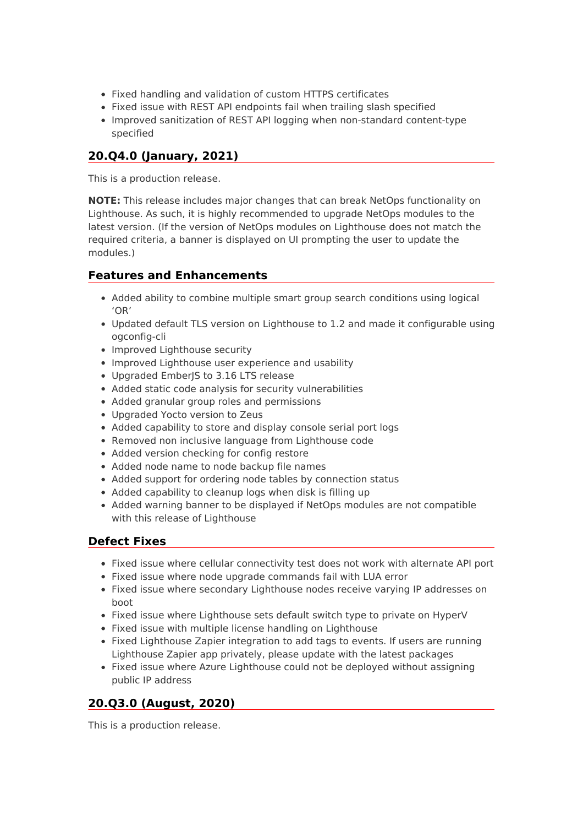- Fixed handling and validation of custom HTTPS certificates
- Fixed issue with REST API endpoints fail when trailing slash specified
- Improved sanitization of REST API logging when non-standard content-type specified

# **20.Q4.0 (January, 2021)**

This is a production release.

**NOTE:** This release includes major changes that can break NetOps functionality on Lighthouse. As such, it is highly recommended to upgrade NetOps modules to the latest version. (If the version of NetOps modules on Lighthouse does not match the required criteria, a banner is displayed on UI prompting the user to update the modules.)

### **Features and Enhancements**

- Added ability to combine multiple smart group search conditions using logical 'OR'
- Updated default TLS version on Lighthouse to 1.2 and made it configurable using ogconfig-cli
- Improved Lighthouse security
- Improved Lighthouse user experience and usability
- Upgraded EmberJS to 3.16 LTS release
- Added static code analysis for security vulnerabilities
- Added granular group roles and permissions
- Upgraded Yocto version to Zeus
- Added capability to store and display console serial port logs
- Removed non inclusive language from Lighthouse code
- Added version checking for config restore
- Added node name to node backup file names
- Added support for ordering node tables by connection status
- Added capability to cleanup logs when disk is filling up
- Added warning banner to be displayed if NetOps modules are not compatible with this release of Lighthouse

### **Defect Fixes**

- Fixed issue where cellular connectivity test does not work with alternate API port
- Fixed issue where node upgrade commands fail with LUA error
- Fixed issue where secondary Lighthouse nodes receive varying IP addresses on boot
- Fixed issue where Lighthouse sets default switch type to private on HyperV
- Fixed issue with multiple license handling on Lighthouse
- Fixed Lighthouse Zapier integration to add tags to events. If users are running Lighthouse Zapier app privately, please update with the latest packages
- Fixed issue where Azure Lighthouse could not be deployed without assigning public IP address

# **20.Q3.0 (August, 2020)**

This is a production release.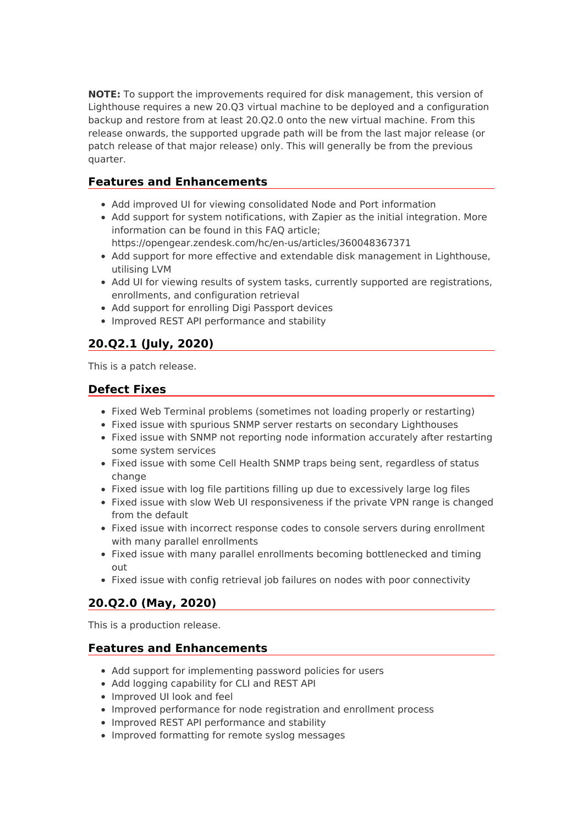**NOTE:** To support the improvements required for disk management, this version of Lighthouse requires a new 20.Q3 virtual machine to be deployed and a configuration backup and restore from at least 20.Q2.0 onto the new virtual machine. From this release onwards, the supported upgrade path will be from the last major release (or patch release of that major release) only. This will generally be from the previous quarter.

### **Features and Enhancements**

- Add improved UI for viewing consolidated Node and Port information
- Add support for system notifications, with Zapier as the initial integration. More information can be found in this FAQ article; https://opengear.zendesk.com/hc/en-us/articles/360048367371
- Add support for more effective and extendable disk management in Lighthouse, utilising LVM
- Add UI for viewing results of system tasks, currently supported are registrations, enrollments, and configuration retrieval
- Add support for enrolling Digi Passport devices
- Improved REST API performance and stability

# **20.Q2.1 (July, 2020)**

This is a patch release.

# **Defect Fixes**

- Fixed Web Terminal problems (sometimes not loading properly or restarting)
- Fixed issue with spurious SNMP server restarts on secondary Lighthouses
- Fixed issue with SNMP not reporting node information accurately after restarting some system services
- Fixed issue with some Cell Health SNMP traps being sent, regardless of status change
- Fixed issue with log file partitions filling up due to excessively large log files
- Fixed issue with slow Web UI responsiveness if the private VPN range is changed from the default
- Fixed issue with incorrect response codes to console servers during enrollment with many parallel enrollments
- Fixed issue with many parallel enrollments becoming bottlenecked and timing out
- Fixed issue with config retrieval job failures on nodes with poor connectivity

# **20.Q2.0 (May, 2020)**

This is a production release.

- Add support for implementing password policies for users
- Add logging capability for CLI and REST API
- Improved UI look and feel
- Improved performance for node registration and enrollment process
- Improved REST API performance and stability
- Improved formatting for remote syslog messages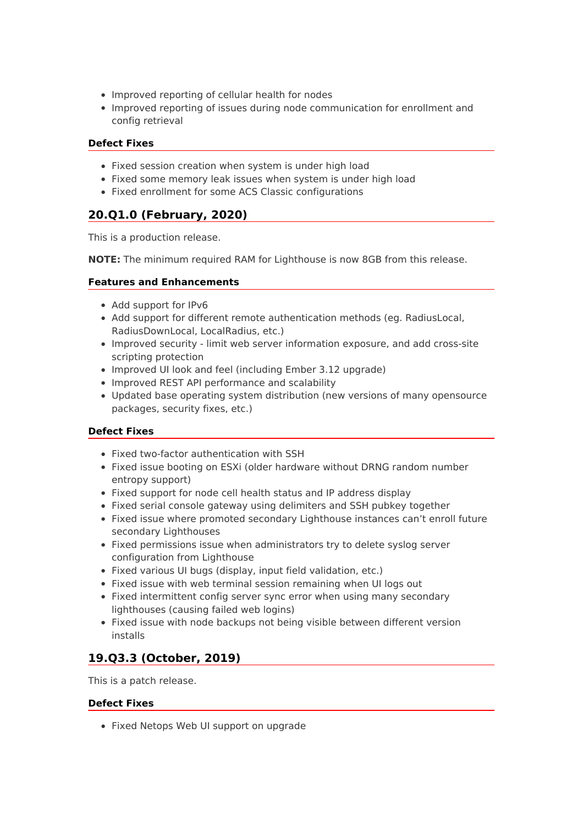- Improved reporting of cellular health for nodes
- Improved reporting of issues during node communication for enrollment and config retrieval

- Fixed session creation when system is under high load
- Fixed some memory leak issues when system is under high load
- Fixed enrollment for some ACS Classic configurations

# **20.Q1.0 (February, 2020)**

This is a production release.

**NOTE:** The minimum required RAM for Lighthouse is now 8GB from this release.

### **Features and Enhancements**

- Add support for IPv6
- Add support for different remote authentication methods (eg. RadiusLocal, RadiusDownLocal, LocalRadius, etc.)
- Improved security limit web server information exposure, and add cross-site scripting protection
- Improved UI look and feel (including Ember 3.12 upgrade)
- Improved REST API performance and scalability
- Updated base operating system distribution (new versions of many opensource packages, security fixes, etc.)

#### **Defect Fixes**

- Fixed two-factor authentication with SSH
- Fixed issue booting on ESXi (older hardware without DRNG random number entropy support)
- Fixed support for node cell health status and IP address display
- Fixed serial console gateway using delimiters and SSH pubkey together
- Fixed issue where promoted secondary Lighthouse instances can't enroll future secondary Lighthouses
- Fixed permissions issue when administrators try to delete syslog server configuration from Lighthouse
- Fixed various UI bugs (display, input field validation, etc.)
- Fixed issue with web terminal session remaining when UI logs out
- Fixed intermittent config server sync error when using many secondary lighthouses (causing failed web logins)
- Fixed issue with node backups not being visible between different version installs

# **19.Q3.3 (October, 2019)**

This is a patch release.

### **Defect Fixes**

• Fixed Netops Web UI support on upgrade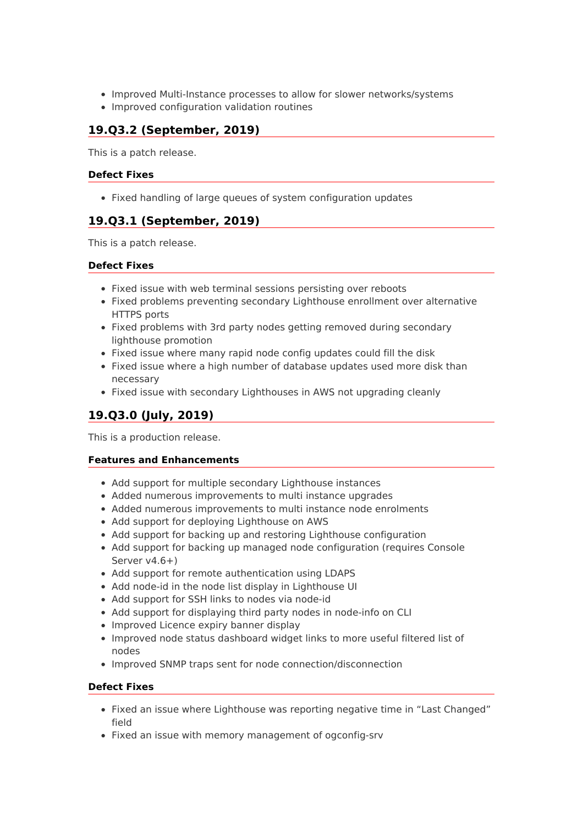- Improved Multi-Instance processes to allow for slower networks/systems
- Improved configuration validation routines

### **19.Q3.2 (September, 2019)**

This is a patch release.

### **Defect Fixes**

• Fixed handling of large queues of system configuration updates

# **19.Q3.1 (September, 2019)**

This is a patch release.

### **Defect Fixes**

- Fixed issue with web terminal sessions persisting over reboots
- Fixed problems preventing secondary Lighthouse enrollment over alternative HTTPS ports
- Fixed problems with 3rd party nodes getting removed during secondary lighthouse promotion
- Fixed issue where many rapid node config updates could fill the disk
- Fixed issue where a high number of database updates used more disk than necessary
- Fixed issue with secondary Lighthouses in AWS not upgrading cleanly

# **19.Q3.0 (July, 2019)**

This is a production release.

### **Features and Enhancements**

- Add support for multiple secondary Lighthouse instances
- Added numerous improvements to multi instance upgrades
- Added numerous improvements to multi instance node enrolments
- Add support for deploying Lighthouse on AWS
- Add support for backing up and restoring Lighthouse configuration
- Add support for backing up managed node configuration (requires Console Server v4.6+)
- Add support for remote authentication using LDAPS
- Add node-id in the node list display in Lighthouse UI
- Add support for SSH links to nodes via node-id
- Add support for displaying third party nodes in node-info on CLI
- Improved Licence expiry banner display
- Improved node status dashboard widget links to more useful filtered list of nodes
- Improved SNMP traps sent for node connection/disconnection

- Fixed an issue where Lighthouse was reporting negative time in "Last Changed" field
- Fixed an issue with memory management of ogconfig-srv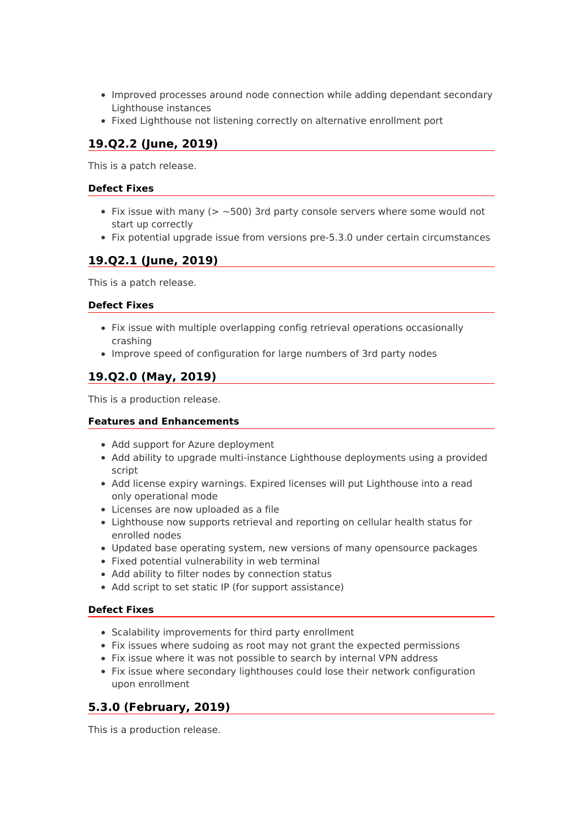- Improved processes around node connection while adding dependant secondary Lighthouse instances
- Fixed Lighthouse not listening correctly on alternative enrollment port

# **19.Q2.2 (June, 2019)**

This is a patch release.

### **Defect Fixes**

- Fix issue with many ( $>$  ~500) 3rd party console servers where some would not start up correctly
- Fix potential upgrade issue from versions pre-5.3.0 under certain circumstances

# **19.Q2.1 (June, 2019)**

This is a patch release.

### **Defect Fixes**

- Fix issue with multiple overlapping config retrieval operations occasionally crashing
- Improve speed of configuration for large numbers of 3rd party nodes

# **19.Q2.0 (May, 2019)**

This is a production release.

#### **Features and Enhancements**

- Add support for Azure deployment
- Add ability to upgrade multi-instance Lighthouse deployments using a provided script
- Add license expiry warnings. Expired licenses will put Lighthouse into a read only operational mode
- Licenses are now uploaded as a file
- Lighthouse now supports retrieval and reporting on cellular health status for enrolled nodes
- Updated base operating system, new versions of many opensource packages
- Fixed potential vulnerability in web terminal
- Add ability to filter nodes by connection status
- Add script to set static IP (for support assistance)

### **Defect Fixes**

- Scalability improvements for third party enrollment
- Fix issues where sudoing as root may not grant the expected permissions
- Fix issue where it was not possible to search by internal VPN address
- Fix issue where secondary lighthouses could lose their network configuration upon enrollment

# **5.3.0 (February, 2019)**

This is a production release.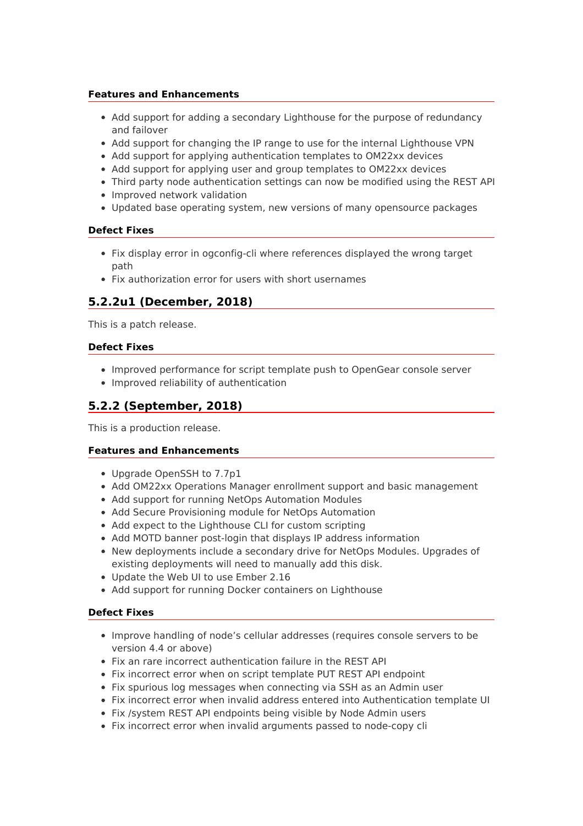#### **Features and Enhancements**

- Add support for adding a secondary Lighthouse for the purpose of redundancy and failover
- Add support for changing the IP range to use for the internal Lighthouse VPN
- Add support for applying authentication templates to OM22xx devices
- Add support for applying user and group templates to OM22xx devices
- Third party node authentication settings can now be modified using the REST API
- Improved network validation
- Updated base operating system, new versions of many opensource packages

#### **Defect Fixes**

- Fix display error in ogconfig-cli where references displayed the wrong target path
- Fix authorization error for users with short usernames

### **5.2.2u1 (December, 2018)**

This is a patch release.

#### **Defect Fixes**

- Improved performance for script template push to OpenGear console server
- Improved reliability of authentication

### **5.2.2 (September, 2018)**

This is a production release.

#### **Features and Enhancements**

- Upgrade OpenSSH to 7.7p1
- Add OM22xx Operations Manager enrollment support and basic management
- Add support for running NetOps Automation Modules
- Add Secure Provisioning module for NetOps Automation
- Add expect to the Lighthouse CLI for custom scripting
- Add MOTD banner post-login that displays IP address information
- New deployments include a secondary drive for NetOps Modules. Upgrades of existing deployments will need to manually add this disk.
- Update the Web UI to use Ember 2.16
- Add support for running Docker containers on Lighthouse

- Improve handling of node's cellular addresses (requires console servers to be version 4.4 or above)
- Fix an rare incorrect authentication failure in the REST API
- Fix incorrect error when on script template PUT REST API endpoint
- Fix spurious log messages when connecting via SSH as an Admin user
- Fix incorrect error when invalid address entered into Authentication template UI
- Fix /system REST API endpoints being visible by Node Admin users
- Fix incorrect error when invalid arguments passed to node-copy cli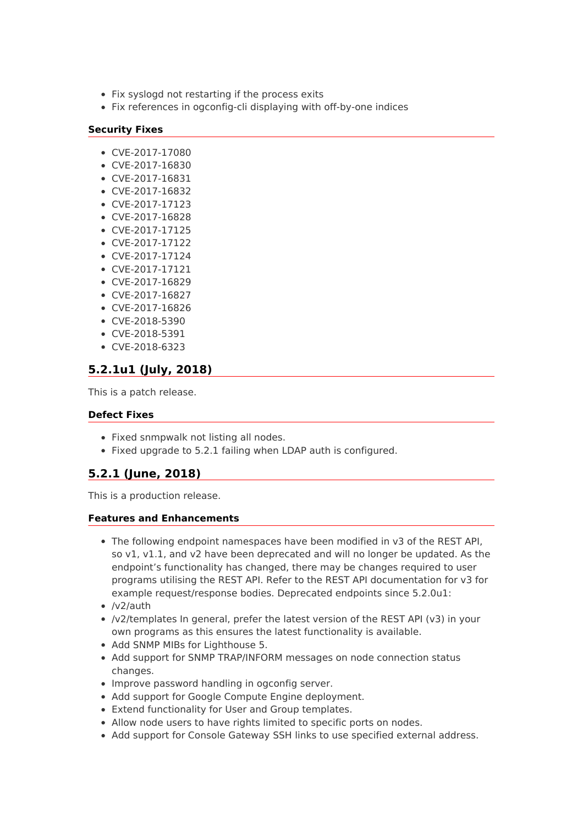- Fix syslogd not restarting if the process exits
- Fix references in ogconfig-cli displaying with off-by-one indices

#### **Security Fixes**

- CVE-2017-17080
- CVE-2017-16830
- CVE-2017-16831
- CVE-2017-16832
- CVE-2017-17123
- CVE-2017-16828
- CVE-2017-17125
- CVE-2017-17122
- CVE-2017-17124
- CVE-2017-17121
- CVE-2017-16829
- CVE-2017-16827
- CVE-2017-16826
- CVE-2018-5390
- CVE-2018-5391
- CVE-2018-6323

# **5.2.1u1 (July, 2018)**

This is a patch release.

#### **Defect Fixes**

- Fixed snmpwalk not listing all nodes.
- Fixed upgrade to 5.2.1 failing when LDAP auth is configured.

# **5.2.1 (June, 2018)**

This is a production release.

- The following endpoint namespaces have been modified in v3 of the REST API, so v1, v1.1, and v2 have been deprecated and will no longer be updated. As the endpoint's functionality has changed, there may be changes required to user programs utilising the REST API. Refer to the REST API documentation for v3 for example request/response bodies. Deprecated endpoints since 5.2.0u1:
- /v2/auth
- /v2/templates In general, prefer the latest version of the REST API (v3) in your own programs as this ensures the latest functionality is available.
- Add SNMP MIBs for Lighthouse 5.
- Add support for SNMP TRAP/INFORM messages on node connection status changes.
- Improve password handling in ogconfig server.
- Add support for Google Compute Engine deployment.
- Extend functionality for User and Group templates.
- Allow node users to have rights limited to specific ports on nodes.
- Add support for Console Gateway SSH links to use specified external address.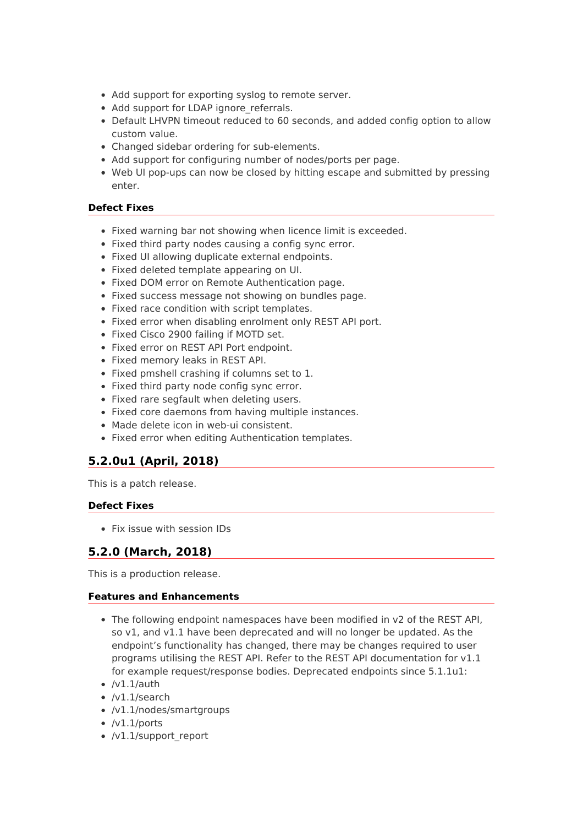- Add support for exporting syslog to remote server.
- Add support for LDAP ignore referrals.
- Default LHVPN timeout reduced to 60 seconds, and added config option to allow custom value.
- Changed sidebar ordering for sub-elements.
- Add support for configuring number of nodes/ports per page.
- Web UI pop-ups can now be closed by hitting escape and submitted by pressing enter.

- Fixed warning bar not showing when licence limit is exceeded.
- Fixed third party nodes causing a config sync error.
- Fixed UI allowing duplicate external endpoints.
- Fixed deleted template appearing on UI.
- Fixed DOM error on Remote Authentication page.
- Fixed success message not showing on bundles page.
- Fixed race condition with script templates.
- Fixed error when disabling enrolment only REST API port.
- Fixed Cisco 2900 failing if MOTD set.
- Fixed error on REST API Port endpoint.
- Fixed memory leaks in REST API.
- Fixed pmshell crashing if columns set to 1.
- Fixed third party node config sync error.
- Fixed rare segfault when deleting users.
- Fixed core daemons from having multiple instances.
- Made delete icon in web-ui consistent.
- Fixed error when editing Authentication templates.

### **5.2.0u1 (April, 2018)**

This is a patch release.

#### **Defect Fixes**

• Fix issue with session IDs

# **5.2.0 (March, 2018)**

This is a production release.

- The following endpoint namespaces have been modified in v2 of the REST API, so v1, and v1.1 have been deprecated and will no longer be updated. As the endpoint's functionality has changed, there may be changes required to user programs utilising the REST API. Refer to the REST API documentation for v1.1 for example request/response bodies. Deprecated endpoints since 5.1.1u1:
- $\bullet$  /v1.1/auth
- /v1.1/search
- /v1.1/nodes/smartgroups
- $\bullet$  /v1.1/ports
- /v1.1/support\_report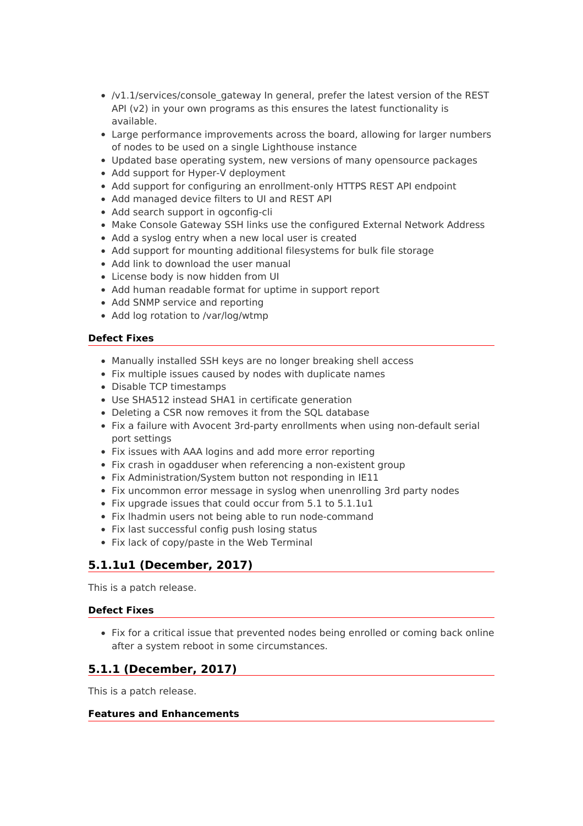- /v1.1/services/console\_gateway In general, prefer the latest version of the REST API (v2) in your own programs as this ensures the latest functionality is available.
- Large performance improvements across the board, allowing for larger numbers of nodes to be used on a single Lighthouse instance
- Updated base operating system, new versions of many opensource packages
- Add support for Hyper-V deployment
- Add support for configuring an enrollment-only HTTPS REST API endpoint
- Add managed device filters to UI and REST API
- Add search support in ogconfig-cli
- Make Console Gateway SSH links use the configured External Network Address
- Add a syslog entry when a new local user is created
- Add support for mounting additional filesystems for bulk file storage
- Add link to download the user manual
- License body is now hidden from UI
- Add human readable format for uptime in support report
- Add SNMP service and reporting
- Add log rotation to /var/log/wtmp

- Manually installed SSH keys are no longer breaking shell access
- Fix multiple issues caused by nodes with duplicate names
- Disable TCP timestamps
- Use SHA512 instead SHA1 in certificate generation
- Deleting a CSR now removes it from the SQL database
- Fix a failure with Avocent 3rd-party enrollments when using non-default serial port settings
- Fix issues with AAA logins and add more error reporting
- Fix crash in ogadduser when referencing a non-existent group
- Fix Administration/System button not responding in IE11
- Fix uncommon error message in syslog when unenrolling 3rd party nodes
- Fix upgrade issues that could occur from 5.1 to 5.1.1u1
- Fix lhadmin users not being able to run node-command
- Fix last successful config push losing status
- Fix lack of copy/paste in the Web Terminal

### **5.1.1u1 (December, 2017)**

This is a patch release.

#### **Defect Fixes**

• Fix for a critical issue that prevented nodes being enrolled or coming back online after a system reboot in some circumstances.

# **5.1.1 (December, 2017)**

This is a patch release.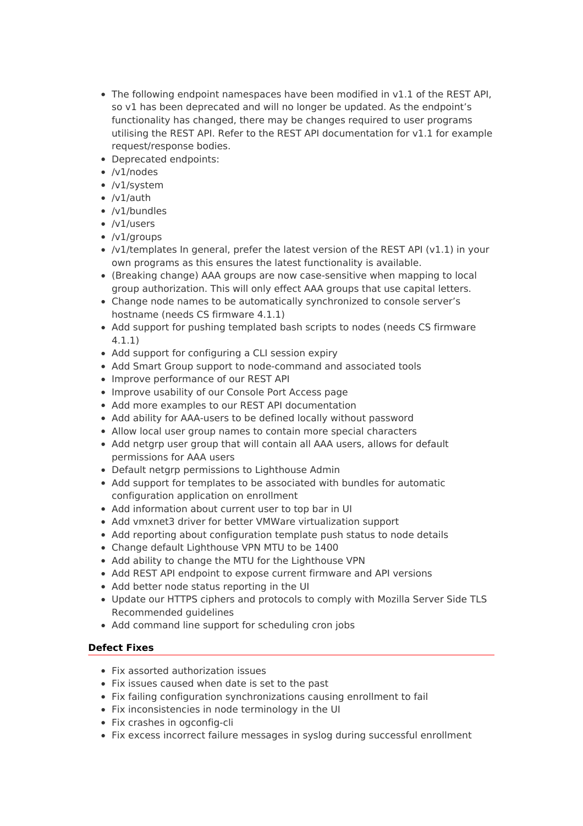- The following endpoint namespaces have been modified in v1.1 of the REST API, so v1 has been deprecated and will no longer be updated. As the endpoint's functionality has changed, there may be changes required to user programs utilising the REST API. Refer to the REST API documentation for v1.1 for example request/response bodies.
- Deprecated endpoints:
- /v1/nodes
- /v1/system
- /v1/auth
- /v1/bundles
- $\bullet$  /v1/users
- /v1/groups
- $\bullet$  /v1/templates In general, prefer the latest version of the REST API (v1.1) in your own programs as this ensures the latest functionality is available.
- (Breaking change) AAA groups are now case-sensitive when mapping to local group authorization. This will only effect AAA groups that use capital letters.
- Change node names to be automatically synchronized to console server's hostname (needs CS firmware 4.1.1)
- Add support for pushing templated bash scripts to nodes (needs CS firmware 4.1.1)
- Add support for configuring a CLI session expiry
- Add Smart Group support to node-command and associated tools
- Improve performance of our REST API
- Improve usability of our Console Port Access page
- Add more examples to our REST API documentation
- Add ability for AAA-users to be defined locally without password
- Allow local user group names to contain more special characters
- Add netgrp user group that will contain all AAA users, allows for default permissions for AAA users
- Default netgrp permissions to Lighthouse Admin
- Add support for templates to be associated with bundles for automatic configuration application on enrollment
- Add information about current user to top bar in UI
- Add vmxnet3 driver for better VMWare virtualization support
- Add reporting about configuration template push status to node details
- Change default Lighthouse VPN MTU to be 1400
- Add ability to change the MTU for the Lighthouse VPN
- Add REST API endpoint to expose current firmware and API versions
- Add better node status reporting in the UI
- Update our HTTPS ciphers and protocols to comply with Mozilla Server Side TLS Recommended guidelines
- Add command line support for scheduling cron jobs

- Fix assorted authorization issues
- Fix issues caused when date is set to the past
- Fix failing configuration synchronizations causing enrollment to fail
- Fix inconsistencies in node terminology in the UI
- Fix crashes in ogconfig-cli
- Fix excess incorrect failure messages in syslog during successful enrollment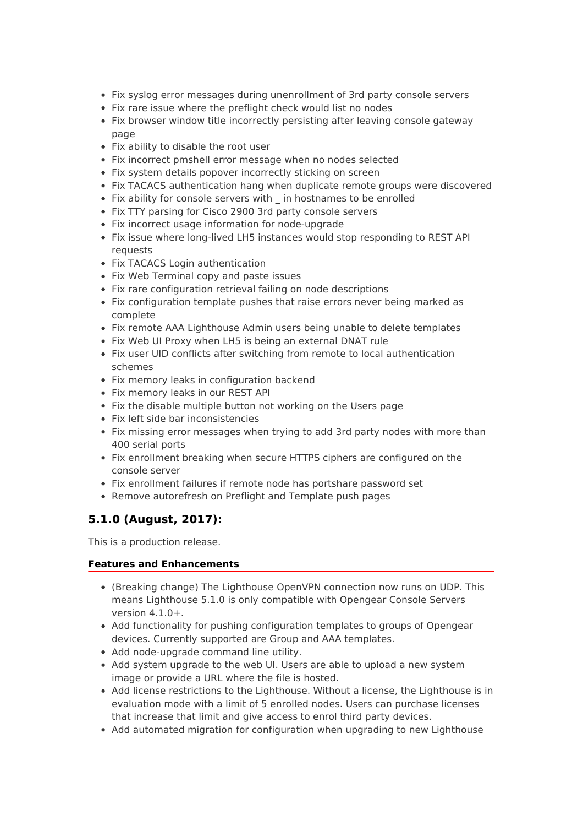- Fix syslog error messages during unenrollment of 3rd party console servers
- Fix rare issue where the preflight check would list no nodes
- Fix browser window title incorrectly persisting after leaving console gateway page
- Fix ability to disable the root user
- Fix incorrect pmshell error message when no nodes selected
- Fix system details popover incorrectly sticking on screen
- Fix TACACS authentication hang when duplicate remote groups were discovered
- Fix ability for console servers with in hostnames to be enrolled
- Fix TTY parsing for Cisco 2900 3rd party console servers
- Fix incorrect usage information for node-upgrade
- Fix issue where long-lived LH5 instances would stop responding to REST API requests
- Fix TACACS Login authentication
- Fix Web Terminal copy and paste issues
- Fix rare configuration retrieval failing on node descriptions
- Fix configuration template pushes that raise errors never being marked as complete
- Fix remote AAA Lighthouse Admin users being unable to delete templates
- Fix Web UI Proxy when LH5 is being an external DNAT rule
- Fix user UID conflicts after switching from remote to local authentication schemes
- Fix memory leaks in configuration backend
- Fix memory leaks in our REST API
- Fix the disable multiple button not working on the Users page
- Fix left side bar inconsistencies
- Fix missing error messages when trying to add 3rd party nodes with more than 400 serial ports
- Fix enrollment breaking when secure HTTPS ciphers are configured on the console server
- Fix enrollment failures if remote node has portshare password set
- Remove autorefresh on Preflight and Template push pages

# **5.1.0 (August, 2017):**

This is a production release.

- (Breaking change) The Lighthouse OpenVPN connection now runs on UDP. This means Lighthouse 5.1.0 is only compatible with Opengear Console Servers version 4.1.0+.
- Add functionality for pushing configuration templates to groups of Opengear devices. Currently supported are Group and AAA templates.
- Add node-upgrade command line utility.
- Add system upgrade to the web UI. Users are able to upload a new system image or provide a URL where the file is hosted.
- Add license restrictions to the Lighthouse. Without a license, the Lighthouse is in evaluation mode with a limit of 5 enrolled nodes. Users can purchase licenses that increase that limit and give access to enrol third party devices.
- Add automated migration for configuration when upgrading to new Lighthouse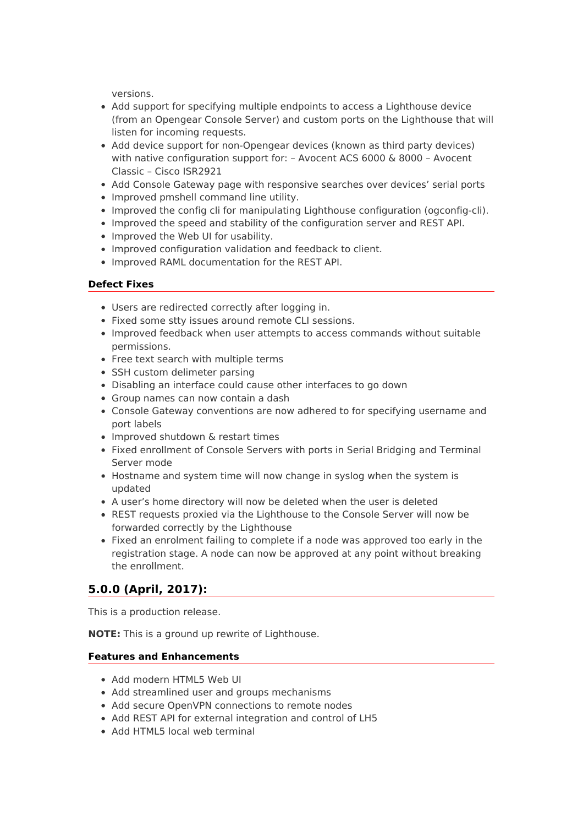versions.

- Add support for specifying multiple endpoints to access a Lighthouse device (from an Opengear Console Server) and custom ports on the Lighthouse that will listen for incoming requests.
- Add device support for non-Opengear devices (known as third party devices) with native configuration support for: - Avocent ACS 6000 & 8000 - Avocent Classic – Cisco ISR2921
- Add Console Gateway page with responsive searches over devices' serial ports
- Improved pmshell command line utility.
- Improved the config cli for manipulating Lighthouse configuration (ogconfig-cli).
- Improved the speed and stability of the configuration server and REST API.
- Improved the Web UI for usability.
- Improved configuration validation and feedback to client.
- Improved RAML documentation for the REST API.

### **Defect Fixes**

- Users are redirected correctly after logging in.
- Fixed some stty issues around remote CLI sessions.
- Improved feedback when user attempts to access commands without suitable permissions.
- Free text search with multiple terms
- SSH custom delimeter parsing
- Disabling an interface could cause other interfaces to go down
- Group names can now contain a dash
- Console Gateway conventions are now adhered to for specifying username and port labels
- Improved shutdown & restart times
- Fixed enrollment of Console Servers with ports in Serial Bridging and Terminal Server mode
- Hostname and system time will now change in syslog when the system is updated
- A user's home directory will now be deleted when the user is deleted
- REST requests proxied via the Lighthouse to the Console Server will now be forwarded correctly by the Lighthouse
- Fixed an enrolment failing to complete if a node was approved too early in the registration stage. A node can now be approved at any point without breaking the enrollment.

# **5.0.0 (April, 2017):**

This is a production release.

**NOTE:** This is a ground up rewrite of Lighthouse.

- Add modern HTML5 Web UI
- Add streamlined user and groups mechanisms
- Add secure OpenVPN connections to remote nodes
- Add REST API for external integration and control of LH5
- Add HTML5 local web terminal